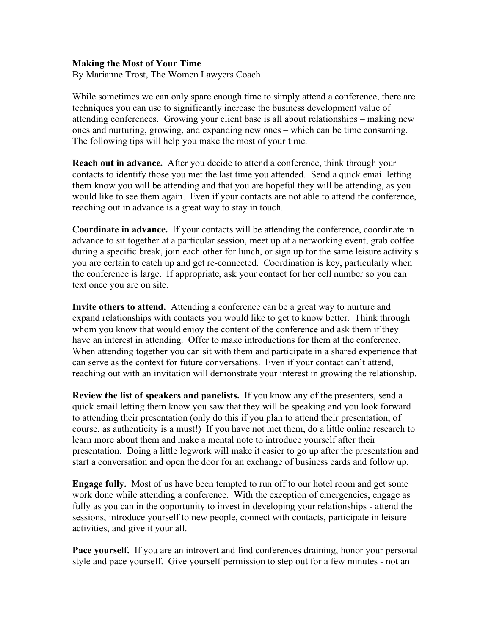## **Making the Most of Your Time**

By Marianne Trost, The Women Lawyers Coach

While sometimes we can only spare enough time to simply attend a conference, there are techniques you can use to significantly increase the business development value of attending conferences. Growing your client base is all about relationships – making new ones and nurturing, growing, and expanding new ones – which can be time consuming. The following tips will help you make the most of your time.

**Reach out in advance.** After you decide to attend a conference, think through your contacts to identify those you met the last time you attended. Send a quick email letting them know you will be attending and that you are hopeful they will be attending, as you would like to see them again. Even if your contacts are not able to attend the conference, reaching out in advance is a great way to stay in touch.

**Coordinate in advance.** If your contacts will be attending the conference, coordinate in advance to sit together at a particular session, meet up at a networking event, grab coffee during a specific break, join each other for lunch, or sign up for the same leisure activity s you are certain to catch up and get re-connected. Coordination is key, particularly when the conference is large. If appropriate, ask your contact for her cell number so you can text once you are on site.

**Invite others to attend.** Attending a conference can be a great way to nurture and expand relationships with contacts you would like to get to know better. Think through whom you know that would enjoy the content of the conference and ask them if they have an interest in attending. Offer to make introductions for them at the conference. When attending together you can sit with them and participate in a shared experience that can serve as the context for future conversations. Even if your contact can't attend, reaching out with an invitation will demonstrate your interest in growing the relationship.

**Review the list of speakers and panelists.** If you know any of the presenters, send a quick email letting them know you saw that they will be speaking and you look forward to attending their presentation (only do this if you plan to attend their presentation, of course, as authenticity is a must!) If you have not met them, do a little online research to learn more about them and make a mental note to introduce yourself after their presentation. Doing a little legwork will make it easier to go up after the presentation and start a conversation and open the door for an exchange of business cards and follow up.

**Engage fully.** Most of us have been tempted to run off to our hotel room and get some work done while attending a conference. With the exception of emergencies, engage as fully as you can in the opportunity to invest in developing your relationships - attend the sessions, introduce yourself to new people, connect with contacts, participate in leisure activities, and give it your all.

**Pace yourself.** If you are an introvert and find conferences draining, honor your personal style and pace yourself. Give yourself permission to step out for a few minutes - not an